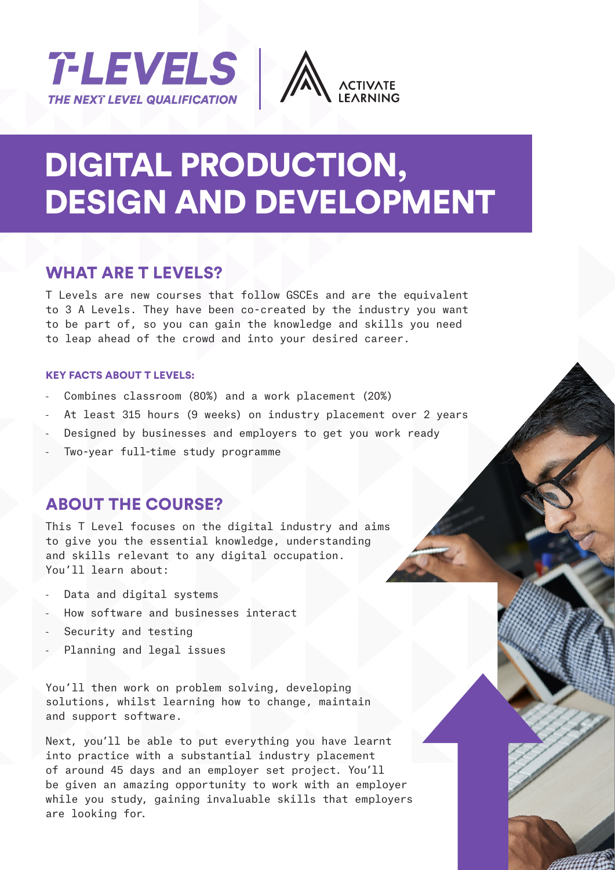



# DIGITAL PRODUCTION, DESIGN AND DEVELOPMENT

### WHAT ARE T LEVELS?

T Levels are new courses that follow GSCEs and are the equivalent to 3 A Levels. They have been co-created by the industry you want to be part of, so you can gain the knowledge and skills you need to leap ahead of the crowd and into your desired career.

#### KEY FACTS ABOUT T LEVELS:

- Combines classroom (80%) and a work placement (20%)
- At least 315 hours (9 weeks) on industry placement over 2 years
- Designed by businesses and employers to get you work ready
- Two-year full-time study programme

### ABOUT THE COURSE?

This T Level focuses on the digital industry and aims to give you the essential knowledge, understanding and skills relevant to any digital occupation. You'll learn about:

- Data and digital systems
- How software and businesses interact
- Security and testing
- Planning and legal issues

You'll then work on problem solving, developing solutions, whilst learning how to change, maintain and support software.

Next, you'll be able to put everything you have learnt into practice with a substantial industry placement of around 45 days and an employer set project. You'll be given an amazing opportunity to work with an employer while you study, gaining invaluable skills that employers are looking for.